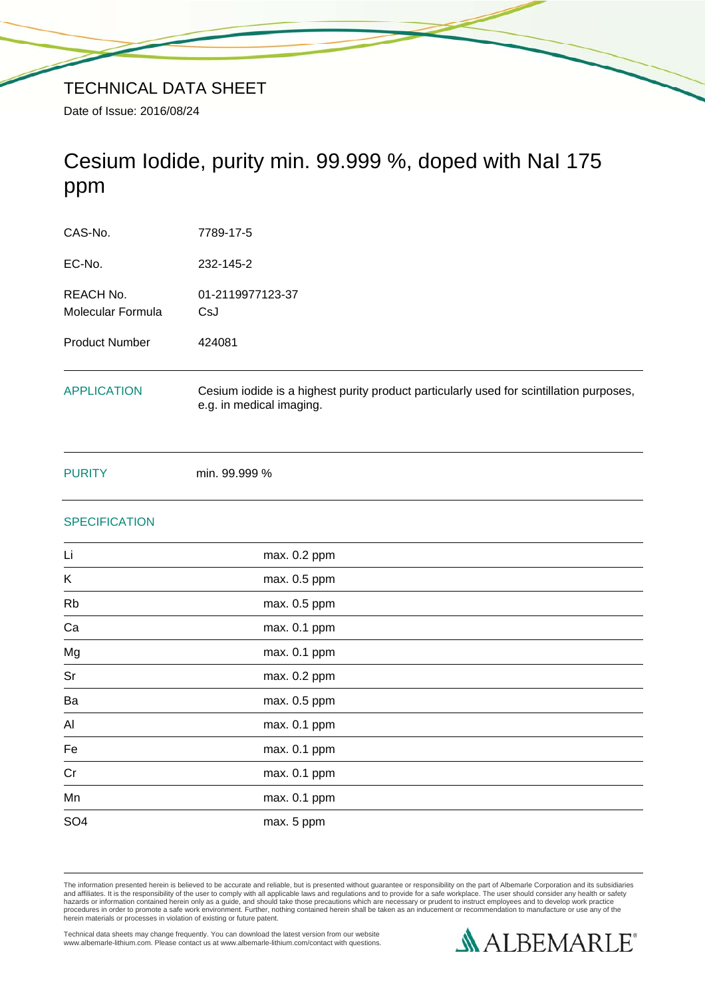# Cesium Iodide, purity min. 99.999 %, doped with NaI 175 ppm

| CAS-No.                        | 7789-17-5                                                                                                           |
|--------------------------------|---------------------------------------------------------------------------------------------------------------------|
| EC-No.                         | 232-145-2                                                                                                           |
| REACH No.<br>Molecular Formula | 01-2119977123-37<br>CsJ                                                                                             |
| <b>Product Number</b>          | 424081                                                                                                              |
| <b>APPLICATION</b>             | Cesium iodide is a highest purity product particularly used for scintillation purposes,<br>e.g. in medical imaging. |

PURITY min. 99.999 %

# **SPECIFICATION**

| max. 0.2 ppm |
|--------------|
| max. 0.5 ppm |
| max. 0.5 ppm |
| max. 0.1 ppm |
| max. 0.1 ppm |
| max. 0.2 ppm |
| max. 0.5 ppm |
| max. 0.1 ppm |
| max. 0.1 ppm |
| max. 0.1 ppm |
| max. 0.1 ppm |
| max. 5 ppm   |
|              |

The information presented herein is believed to be accurate and reliable, but is presented without guarantee or responsibility on the part of Albemarle Corporation and its subsidiaries<br>and affiliates. It is the responsibil

Technical data sheets may change frequently. You can download the latest version from our website www.albemarle-lithium.com. Please contact us at www.albemarle-lithium.com/contact with questions.

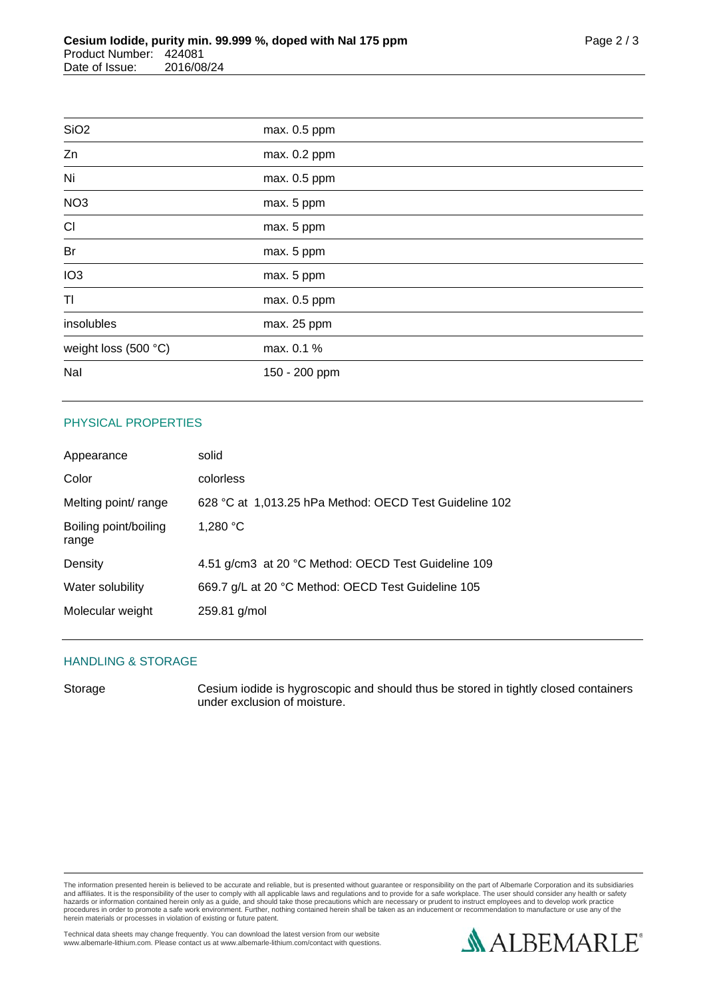| SiO <sub>2</sub>     | max. 0.5 ppm  |  |
|----------------------|---------------|--|
| Zn                   | max. 0.2 ppm  |  |
| Ni                   | max. 0.5 ppm  |  |
| NO <sub>3</sub>      | max. 5 ppm    |  |
| CI                   | max. 5 ppm    |  |
| Br                   | max. 5 ppm    |  |
| IO <sub>3</sub>      | max. 5 ppm    |  |
| TI                   | max. 0.5 ppm  |  |
| insolubles           | max. 25 ppm   |  |
| weight loss (500 °C) | max. 0.1 %    |  |
| Nal                  | 150 - 200 ppm |  |
|                      |               |  |

## PHYSICAL PROPERTIES

| Appearance                     | solid                                                  |
|--------------------------------|--------------------------------------------------------|
| Color                          | colorless                                              |
| Melting point/ range           | 628 °C at 1,013.25 hPa Method: OECD Test Guideline 102 |
| Boiling point/boiling<br>range | 1,280 °C                                               |
| Density                        | 4.51 g/cm3 at 20 °C Method: OECD Test Guideline 109    |
| Water solubility               | 669.7 g/L at 20 °C Method: OECD Test Guideline 105     |
| Molecular weight               | 259.81 g/mol                                           |

#### HANDLING & STORAGE

Storage Cesium iodide is hygroscopic and should thus be stored in tightly closed containers under exclusion of moisture.

The information presented herein is believed to be accurate and reliable, but is presented without guarantee or responsibility on the part of Albemarle Corporation and its subsidiaries<br>and affiliates. It is the responsibil

Technical data sheets may change frequently. You can download the latest version from our website www.albemarle-lithium.com. Please contact us at www.albemarle-lithium.com/contact with questions.